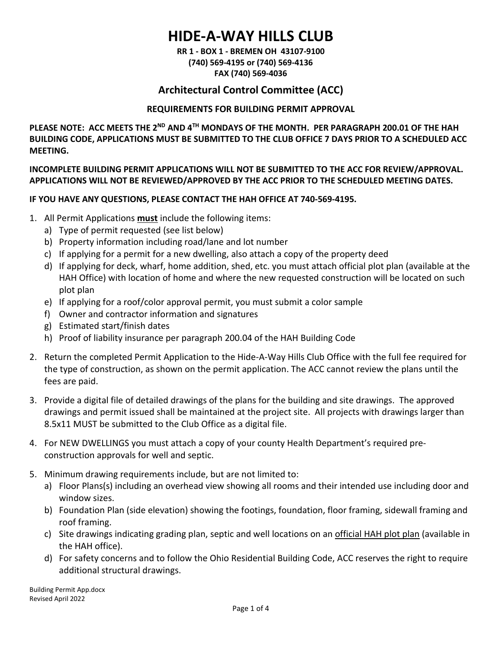# **HIDE-A-WAY HILLS CLUB**

**RR 1 - BOX 1 - BREMEN OH 43107-9100 (740) 569-4195 or (740) 569-4136 FAX (740) 569-4036**

## **Architectural Control Committee (ACC)**

### **REQUIREMENTS FOR BUILDING PERMIT APPROVAL**

**PLEASE NOTE: ACC MEETS THE 2ND AND 4TH MONDAYS OF THE MONTH. PER PARAGRAPH 200.01 OF THE HAH BUILDING CODE, APPLICATIONS MUST BE SUBMITTED TO THE CLUB OFFICE 7 DAYS PRIOR TO A SCHEDULED ACC MEETING.**

**INCOMPLETE BUILDING PERMIT APPLICATIONS WILL NOT BE SUBMITTED TO THE ACC FOR REVIEW/APPROVAL. APPLICATIONS WILL NOT BE REVIEWED/APPROVED BY THE ACC PRIOR TO THE SCHEDULED MEETING DATES.**

## **IF YOU HAVE ANY QUESTIONS, PLEASE CONTACT THE HAH OFFICE AT 740-569-4195.**

- 1. All Permit Applications **must** include the following items:
	- a) Type of permit requested (see list below)
	- b) Property information including road/lane and lot number
	- c) If applying for a permit for a new dwelling, also attach a copy of the property deed
	- d) If applying for deck, wharf, home addition, shed, etc. you must attach official plot plan (available at the HAH Office) with location of home and where the new requested construction will be located on such plot plan
	- e) If applying for a roof/color approval permit, you must submit a color sample
	- f) Owner and contractor information and signatures
	- g) Estimated start/finish dates
	- h) Proof of liability insurance per paragraph 200.04 of the HAH Building Code
- 2. Return the completed Permit Application to the Hide-A-Way Hills Club Office with the full fee required for the type of construction, as shown on the permit application. The ACC cannot review the plans until the fees are paid.
- 3. Provide a digital file of detailed drawings of the plans for the building and site drawings. The approved drawings and permit issued shall be maintained at the project site. All projects with drawings larger than 8.5x11 MUST be submitted to the Club Office as a digital file.
- 4. For NEW DWELLINGS you must attach a copy of your county Health Department's required preconstruction approvals for well and septic.
- 5. Minimum drawing requirements include, but are not limited to:
	- a) Floor Plans(s) including an overhead view showing all rooms and their intended use including door and window sizes.
	- b) Foundation Plan (side elevation) showing the footings, foundation, floor framing, sidewall framing and roof framing.
	- c) Site drawings indicating grading plan, septic and well locations on an official HAH plot plan (available in the HAH office).
	- d) For safety concerns and to follow the Ohio Residential Building Code, ACC reserves the right to require additional structural drawings.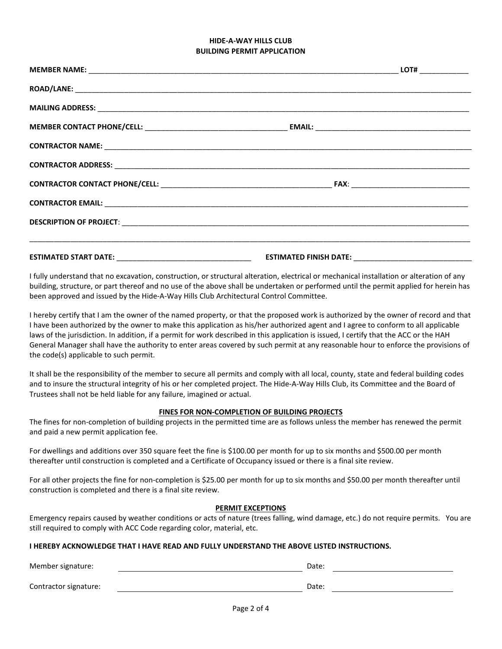#### **HIDE-A-WAY HILLS CLUB BUILDING PERMIT APPLICATION**

I fully understand that no excavation, construction, or structural alteration, electrical or mechanical installation or alteration of any building, structure, or part thereof and no use of the above shall be undertaken or performed until the permit applied for herein has been approved and issued by the Hide-A-Way Hills Club Architectural Control Committee.

I hereby certify that I am the owner of the named property, or that the proposed work is authorized by the owner of record and that I have been authorized by the owner to make this application as his/her authorized agent and I agree to conform to all applicable laws of the jurisdiction. In addition, if a permit for work described in this application is issued, I certify that the ACC or the HAH General Manager shall have the authority to enter areas covered by such permit at any reasonable hour to enforce the provisions of the code(s) applicable to such permit.

It shall be the responsibility of the member to secure all permits and comply with all local, county, state and federal building codes and to insure the structural integrity of his or her completed project. The Hide-A-Way Hills Club, its Committee and the Board of Trustees shall not be held liable for any failure, imagined or actual.

#### **FINES FOR NON-COMPLETION OF BUILDING PROJECTS**

The fines for non-completion of building projects in the permitted time are as follows unless the member has renewed the permit and paid a new permit application fee.

For dwellings and additions over 350 square feet the fine is \$100.00 per month for up to six months and \$500.00 per month thereafter until construction is completed and a Certificate of Occupancy issued or there is a final site review.

For all other projects the fine for non-completion is \$25.00 per month for up to six months and \$50.00 per month thereafter until construction is completed and there is a final site review.

#### **PERMIT EXCEPTIONS**

Emergency repairs caused by weather conditions or acts of nature (trees falling, wind damage, etc.) do not require permits. You are still required to comply with ACC Code regarding color, material, etc.

#### **I HEREBY ACKNOWLEDGE THAT I HAVE READ AND FULLY UNDERSTAND THE ABOVE LISTED INSTRUCTIONS.**

| Member signature:     | Date: |  |
|-----------------------|-------|--|
| Contractor signature: | Date: |  |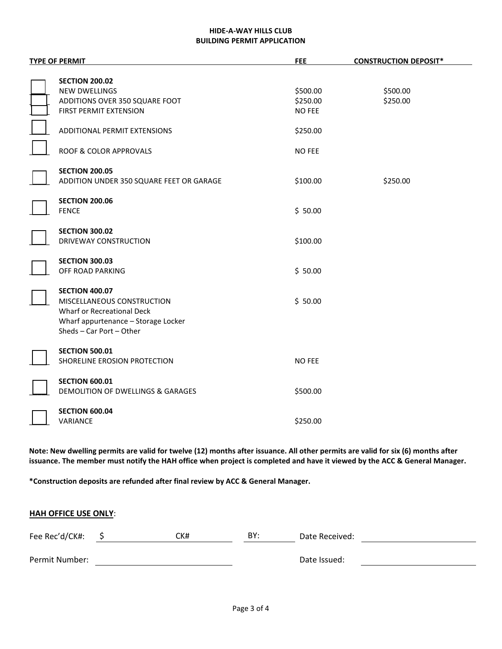#### **HIDE-A-WAY HILLS CLUB BUILDING PERMIT APPLICATION**

| <b>TYPE OF PERMIT</b>                                      | <b>FEE</b>    | <b>CONSTRUCTION DEPOSIT*</b> |
|------------------------------------------------------------|---------------|------------------------------|
|                                                            |               |                              |
| <b>SECTION 200.02</b>                                      |               |                              |
| <b>NEW DWELLINGS</b>                                       | \$500.00      | \$500.00                     |
| ADDITIONS OVER 350 SQUARE FOOT                             | \$250.00      | \$250.00                     |
| FIRST PERMIT EXTENSION                                     | <b>NO FEE</b> |                              |
| ADDITIONAL PERMIT EXTENSIONS                               | \$250.00      |                              |
| <b>ROOF &amp; COLOR APPROVALS</b>                          | <b>NO FEE</b> |                              |
| <b>SECTION 200.05</b>                                      |               |                              |
| ADDITION UNDER 350 SQUARE FEET OR GARAGE                   | \$100.00      | \$250.00                     |
| <b>SECTION 200.06</b>                                      |               |                              |
| <b>FENCE</b>                                               | \$50.00       |                              |
|                                                            |               |                              |
| <b>SECTION 300.02</b>                                      |               |                              |
| DRIVEWAY CONSTRUCTION                                      | \$100.00      |                              |
|                                                            |               |                              |
| <b>SECTION 300.03</b><br>OFF ROAD PARKING                  |               |                              |
|                                                            | \$50.00       |                              |
| <b>SECTION 400.07</b>                                      |               |                              |
| MISCELLANEOUS CONSTRUCTION                                 | \$50.00       |                              |
| Wharf or Recreational Deck                                 |               |                              |
| Wharf appurtenance - Storage Locker                        |               |                              |
| Sheds - Car Port - Other                                   |               |                              |
|                                                            |               |                              |
| <b>SECTION 500.01</b>                                      |               |                              |
| SHORELINE EROSION PROTECTION                               | <b>NO FEE</b> |                              |
|                                                            |               |                              |
| <b>SECTION 600.01</b><br>DEMOLITION OF DWELLINGS & GARAGES | \$500.00      |                              |
|                                                            |               |                              |
| <b>SECTION 600.04</b>                                      |               |                              |
| VARIANCE                                                   | \$250.00      |                              |
|                                                            |               |                              |

**Note: New dwelling permits are valid for twelve (12) months after issuance. All other permits are valid for six (6) months after issuance. The member must notify the HAH office when project is completed and have it viewed by the ACC & General Manager.**

**\*Construction deposits are refunded after final review by ACC & General Manager.**

| <b>HAH OFFICE USE ONLY:</b> |  |     |     |                |  |  |
|-----------------------------|--|-----|-----|----------------|--|--|
| Fee Rec'd/CK#:              |  | CK# | BY: | Date Received: |  |  |
| Permit Number:              |  |     |     | Date Issued:   |  |  |